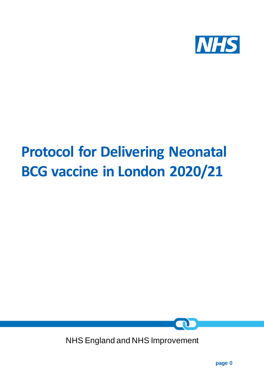

# **Protocol for Delivering Neonatal BCG vaccine in London 2020/21**



NHS England and NHS Improvement

**page 0**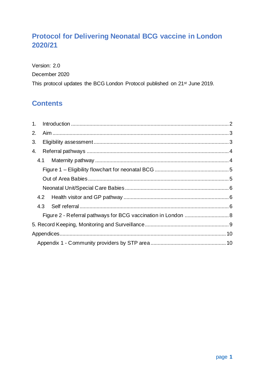# **Protocol for Delivering Neonatal BCG vaccine in London** 2020/21

Version: 2.0 December 2020 This protocol updates the BCG London Protocol published on 21<sup>st</sup> June 2019.

# **Contents**

| 2. |     |                                                               |  |
|----|-----|---------------------------------------------------------------|--|
| 3. |     |                                                               |  |
| 4. |     |                                                               |  |
|    |     |                                                               |  |
|    |     |                                                               |  |
|    |     |                                                               |  |
|    |     |                                                               |  |
|    |     |                                                               |  |
|    | 4.3 |                                                               |  |
|    |     | Figure 2 - Referral pathways for BCG vaccination in London  8 |  |
|    |     |                                                               |  |
|    |     |                                                               |  |
|    |     |                                                               |  |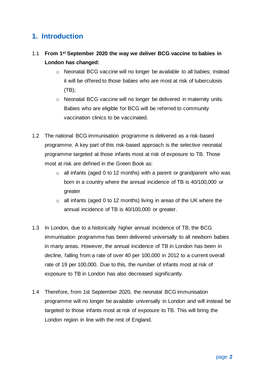## <span id="page-2-0"></span>**1. Introduction**

- 1.1 **From 1st September 2020 the way we deliver BCG vaccine to babies in London has changed:** 
	- o Neonatal BCG vaccine will no longer be available to all babies; instead it will be offered to those babies who are most at risk of tuberculosis (TB);
	- o Neonatal BCG vaccine will no longer be delivered in maternity units. Babies who are eligible for BCG will be referred to community vaccination clinics to be vaccinated.
- 1.2 The national BCG immunisation programme is delivered as a risk-based programme. A key part of this risk-based approach is the selective neonatal programme targeted at those infants most at risk of exposure to TB. Those most at risk are defined in the Green Book as:
	- $\circ$  all infants (aged 0 to 12 months) with a parent or grandparent who was born in a country where the annual incidence of TB is 40/100,000 or greater
	- $\circ$  all infants (aged 0 to 12 months) living in areas of the UK where the annual incidence of TB is 40/100,000 or greater.
- 1.3 In London, due to a historically higher annual incidence of TB, the BCG immunisation programme has been delivered universally to all newborn babies in many areas. However, the annual incidence of TB in London has been in decline, falling from a rate of over 40 per 100,000 in 2012 to a current overall rate of 19 per 100,000. Due to this, the number of infants most at risk of exposure to TB in London has also decreased significantly.
- 1.4 Therefore, from 1st September 2020, the neonatal BCG immunisation programme will no longer be available universally in London and will instead be targeted to those infants most at risk of exposure to TB. This will bring the London region in line with the rest of England.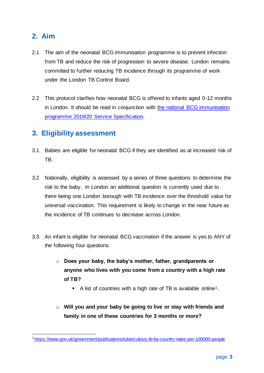# <span id="page-3-0"></span>**2. Aim**

- 2.1 The aim of the neonatal BCG immunisation programme is to prevent infection from TB and reduce the risk of progression to severe disease. London remains committed to further reducing TB incidence through its programme of work under the London TB Control Board.
- 2.2 This protocol clarifies how neonatal BCG is offered to infants aged 0-12 months in London. It should be read in conjunction with [the national BCG immunisation](https://www.england.nhs.uk/publication/public-health-national-service-specifications/)  [programme 2019/20 Service Specification.](https://www.england.nhs.uk/publication/public-health-national-service-specifications/)

# <span id="page-3-1"></span>**3. Eligibility assessment**

- 3.1 Babies are eligible for neonatal BCG if they are identified as at increased risk of TB.
- 3.2 Nationally, eligibility is assessed by a series of three questions to determine the risk to the baby. In London an additional question is currently used due to there being one London borough with TB incidence over the threshold value for universal vaccination. This requirement is likely to change in the near future as the incidence of TB continues to decrease across London.
- 3.3 An infant is eligible for neonatal BCG vaccination if the answer is yes to ANY of the following four questions:
	- o **Does your baby, the baby's mother, father, grandparents or anyone who lives with you come from a country with a high rate of TB?**
		- A list of countries with a high rate of TB is available online<sup>1</sup>.
	- o **Will you and your baby be going to live or stay with friends and family in one of these countries for 3 months or more?**

<sup>1</sup> <https://www.gov.uk/government/publications/tuberculosis-tb-by-country-rates-per-100000-people>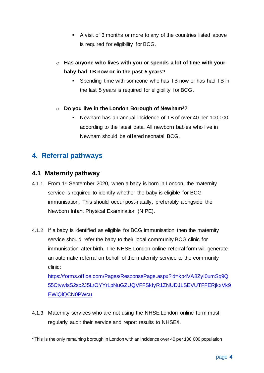- A visit of 3 months or more to any of the countries listed above is required for eligibility for BCG.
- o **Has anyone who lives with you or spends a lot of time with your baby had TB now or in the past 5 years?**
	- Spending time with someone who has TB now or has had TB in the last 5 years is required for eligibility for BCG.
- o **Do you live in the London Borough of Newham2?**
	- Newham has an annual incidence of TB of over 40 per 100,000 according to the latest data. All newborn babies who live in Newham should be offered neonatal BCG.

# <span id="page-4-0"></span>**4. Referral pathways**

### <span id="page-4-1"></span>**4.1 Maternity pathway**

- 4.1.1 From 1<sup>st</sup> September 2020, when a baby is born in London, the maternity service is required to identify whether the baby is eligible for BCG immunisation. This should occur post-natally, preferably alongside the Newborn Infant Physical Examination (NIPE).
- 4.1.2 If a baby is identified as eligible for BCG immunisation then the maternity service should refer the baby to their local community BCG clinic for immunisation after birth. The NHSE London online referral form will generate an automatic referral on behalf of the maternity service to the community clinic:

[https://forms.office.com/Pages/ResponsePage.aspx?id=kp4VA8ZyI0umSq9Q](https://forms.office.com/Pages/ResponsePage.aspx?id=kp4VA8ZyI0umSq9Q55CtvwIsS2sc2J5LrOYYrLpNuGZUQVFFSkIyR1ZNUDJLSEVUTFFERjkxVk9EWiQlQCN0PWcu) [55CtvwIsS2sc2J5LrOYYrLpNuGZUQVFFSkIyR1ZNUDJLSEVUTFFERjkxVk9](https://forms.office.com/Pages/ResponsePage.aspx?id=kp4VA8ZyI0umSq9Q55CtvwIsS2sc2J5LrOYYrLpNuGZUQVFFSkIyR1ZNUDJLSEVUTFFERjkxVk9EWiQlQCN0PWcu) [EWiQlQCN0PWcu](https://forms.office.com/Pages/ResponsePage.aspx?id=kp4VA8ZyI0umSq9Q55CtvwIsS2sc2J5LrOYYrLpNuGZUQVFFSkIyR1ZNUDJLSEVUTFFERjkxVk9EWiQlQCN0PWcu)

4.1.3 Maternity services who are not using the NHSE London online form must regularly audit their service and report results to NHSE/I.

 $2$  This is the only remaining borough in London with an incidence over 40 per 100,000 population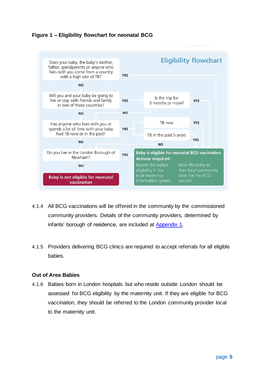### <span id="page-5-0"></span>**Figure 1 – Eligibility flowchart for neonatal BCG**



- 4.1.4 All BCG vaccinations will be offered in the community by the commissioned community providers. Details of the community providers, determined by infants' borough of residence, are included at [Appendix 1.](#page-10-1)
- 4.1.5 Providers delivering BCG clinics are required to accept referrals for all eligible babies.

#### <span id="page-5-1"></span>**Out of Area Babies**

4.1.6 Babies born in London hospitals but who reside outside London should be assessed for BCG eligibility by the maternity unit. If they are eligible for BCG vaccination, they should be referred to the London community provider local to the maternity unit.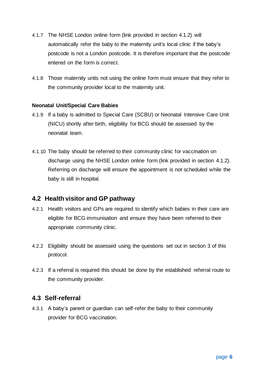- 4.1.7 The NHSE London online form (link provided in section 4.1.2) will automatically refer the baby to the maternity unit's local clinic if the baby's postcode is not a London postcode. It is therefore important that the postcode entered on the form is correct.
- 4.1.8 Those maternity units not using the online form must ensure that they refer to the community provider local to the maternity unit.

#### <span id="page-6-0"></span>**Neonatal Unit/Special Care Babies**

- 4.1.9 If a baby is admitted to Special Care (SCBU) or Neonatal Intensive Care Unit (NICU) shortly after birth, eligibility for BCG should be assessed by the neonatal team.
- 4.1.10 The baby should be referred to their community clinic for vaccination on discharge using the NHSE London online form (link provided in section 4.1.2). Referring on discharge will ensure the appointment is not scheduled while the baby is still in hospital.

### <span id="page-6-1"></span>**4.2 Health visitor and GP pathway**

- 4.2.1 Health visitors and GPs are required to identify which babies in their care are eligible for BCG immunisation and ensure they have been referred to their appropriate community clinic.
- 4.2.2 Eligibility should be assessed using the questions set out in section 3 of this protocol.
- 4.2.3 If a referral is required this should be done by the established referral route to the community provider.

### <span id="page-6-2"></span>**4.3 Self-referral**

4.3.1 A baby's parent or guardian can self-refer the baby to their community provider for BCG vaccination.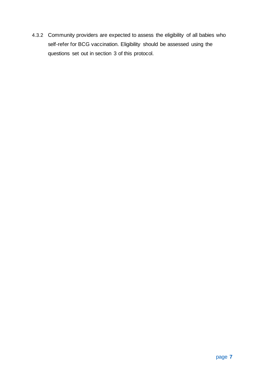4.3.2 Community providers are expected to assess the eligibility of all babies who self-refer for BCG vaccination. Eligibility should be assessed using the questions set out in section 3 of this protocol.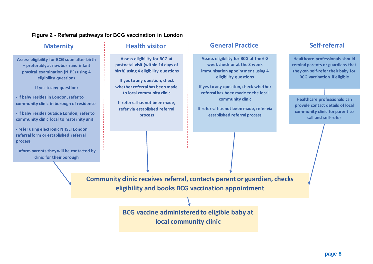#### **Figure 2 - Referral pathways for BCG vaccination in London**

**Assess eligibility for BCG soon after birth – preferably at newborn and infant physical examination (NIPE) using 4 eligibility questions** 

**If yes to any question:**

**- if baby resides in London, refer to community clinic in borough of residence**

**- if baby resides outside London, refer to community clinic local to maternity unit**

**- refer using electronic NHSEI London referral form or established referral process**

<span id="page-8-0"></span>**Inform parents they will be contacted by clinic for their borough**

**Assess eligibility for BCG at postnatal visit (within 14 days of birth) using 4 eligibility questions**

**If yes to any question, check whether referral has been made to local community clinic**

**If referral has not been made, refer via established referral process**

# **Maternity Health visitor General Practice Self-referral**

**Assess eligibility for BCG at the 6-8 week check or at the 8 week immunisation appointment using 4 eligibility questions**

**If yes to any question, check whether referral has been made to the local community clinic**

**If referral has not been made, refer via established referral process**

**Healthcare professionals should remind parents or guardians that they can self-refer their baby for BCG vaccination if eligible**

**Healthcare professionals can provide contact details of local community clinic for parent to call and self-refer**

**Community clinic receives referral, contacts parent or guardian, checks eligibility and books BCG vaccination appointment**

> **BCG vaccine administered to eligible baby at local community clinic**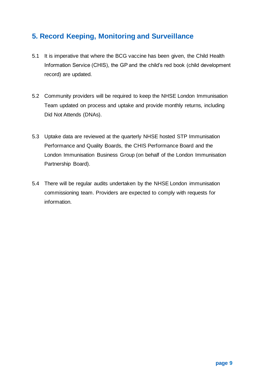# <span id="page-9-0"></span>**5. Record Keeping, Monitoring and Surveillance**

- 5.1 It is imperative that where the BCG vaccine has been given, the Child Health Information Service (CHIS), the GP and the child's red book (child development record) are updated.
- 5.2 Community providers will be required to keep the NHSE London Immunisation Team updated on process and uptake and provide monthly returns, including Did Not Attends (DNAs).
- 5.3 Uptake data are reviewed at the quarterly NHSE hosted STP Immunisation Performance and Quality Boards, the CHIS Performance Board and the London Immunisation Business Group (on behalf of the London Immunisation Partnership Board).
- 5.4 There will be regular audits undertaken by the NHSE London immunisation commissioning team. Providers are expected to comply with requests for information.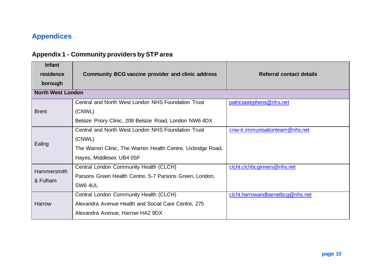# **Appendices**

# **Appendix 1 - Community providers by STP area**

<span id="page-10-1"></span><span id="page-10-0"></span>

| <b>Infant</b><br>residence<br>borough | <b>Community BCG vaccine provider and clinic address</b>                                                                                                | Referral contact details         |
|---------------------------------------|---------------------------------------------------------------------------------------------------------------------------------------------------------|----------------------------------|
| <b>North West London</b>              |                                                                                                                                                         |                                  |
| <b>Brent</b>                          | Central and North West London NHS Foundation Trust<br>(CNWL)<br>Belsize Priory Clinic, 208 Belsize Road, London NW6 4DX                                 | patriciastephens@nhs.net         |
| Ealing                                | Central and North West London NHS Foundation Trust<br>(CNWL)<br>The Warren Clinic, The Warren Health Centre, Uxbridge Road,<br>Hayes, Middlesex UB4 0SF | cnw-tr.immunisationteam@nhs.net  |
| <b>Hammersmith</b><br>& Fulham        | Central London Community Health (CLCH)<br>Parsons Green Health Centre, 5-7 Parsons Green, London,<br>SW6 4UL                                            | clcht.clchbcginners@nhs.net      |
| Harrow                                | Central London Community Health (CLCH)<br>Alexandra Avenue Health and Social Care Centre, 275<br>Alexandra Avenue, Harrow HA2 9DX                       | clcht.harrowandbarnetbcg@nhs.net |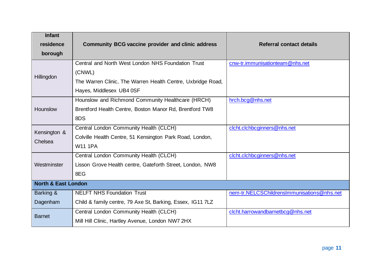| <b>Infant</b>                  |                                                             |                                            |
|--------------------------------|-------------------------------------------------------------|--------------------------------------------|
| residence                      | <b>Community BCG vaccine provider and clinic address</b>    | <b>Referral contact details</b>            |
| borough                        |                                                             |                                            |
|                                | Central and North West London NHS Foundation Trust          | cnw-tr.immunisationteam@nhs.net            |
| Hillingdon                     | (CNWL)                                                      |                                            |
|                                | The Warren Clinic, The Warren Health Centre, Uxbridge Road, |                                            |
|                                | Hayes, Middlesex UB4 0SF                                    |                                            |
|                                | Hounslow and Richmond Community Healthcare (HRCH)           | hrch.bcg@nhs.net                           |
| <b>Hounslow</b>                | Brentford Health Centre, Boston Manor Rd, Brentford TW8     |                                            |
|                                | 8DS                                                         |                                            |
| Kensington &                   | Central London Community Health (CLCH)                      | clcht.clchbcginners@nhs.net                |
| Chelsea                        | Colville Health Centre, 51 Kensington Park Road, London,    |                                            |
|                                | <b>W11 1PA</b>                                              |                                            |
|                                | Central London Community Health (CLCH)                      | clcht.clchbcginners@nhs.net                |
| Westminster                    | Lisson Grove Health centre, Gateforth Street, London, NW8   |                                            |
|                                | 8EG                                                         |                                            |
| <b>North &amp; East London</b> |                                                             |                                            |
| Barking &                      | <b>NELFT NHS Foundation Trust</b>                           | nem-tr.NELCSChildrensImmunisations@nhs.net |
| Dagenham                       | Child & family centre, 79 Axe St, Barking, Essex, IG11 7LZ  |                                            |
| <b>Barnet</b>                  | Central London Community Health (CLCH)                      | clcht.harrowandbarnetbcg@nhs.net           |
|                                | Mill Hill Clinic, Hartley Avenue, London NW7 2HX            |                                            |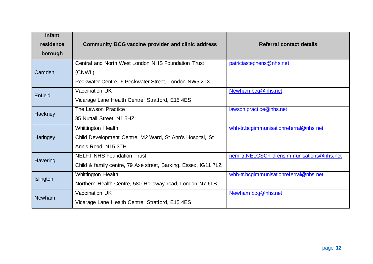| <b>Infant</b> |                                                                |                                            |
|---------------|----------------------------------------------------------------|--------------------------------------------|
| residence     | <b>Community BCG vaccine provider and clinic address</b>       | <b>Referral contact details</b>            |
| borough       |                                                                |                                            |
|               | Central and North West London NHS Foundation Trust             | patriciastephens@nhs.net                   |
| Camden        | (CNWL)                                                         |                                            |
|               | Peckwater Centre, 6 Peckwater Street, London NW5 2TX           |                                            |
| Enfield       | <b>Vaccination UK</b>                                          | Newham.bcg@nhs.net                         |
|               | Vicarage Lane Health Centre, Stratford, E15 4ES                |                                            |
| Hackney       | The Lawson Practice                                            | lawson.practice@nhs.net                    |
|               | 85 Nuttall Street, N1 5HZ                                      |                                            |
|               | Whittington Health                                             | whh-tr.bcgimmunisationreferral@nhs.net     |
| Haringey      | Child Development Centre, M2 Ward, St Ann's Hospital, St       |                                            |
|               | Ann's Road, N15 3TH                                            |                                            |
| Havering      | <b>NELFT NHS Foundation Trust</b>                              | nem-tr.NELCSChildrensImmunisations@nhs.net |
|               | Child & family centre, 79 Axe street, Barking. Essex, IG11 7LZ |                                            |
| Islington     | <b>Whittington Health</b>                                      | whh-tr.bcgimmunisationreferral@nhs.net     |
|               | Northern Health Centre, 580 Holloway road, London N7 6LB       |                                            |
| <b>Newham</b> | Vaccination UK                                                 | Newham.bcg@nhs.net                         |
|               | Vicarage Lane Health Centre, Stratford, E15 4ES                |                                            |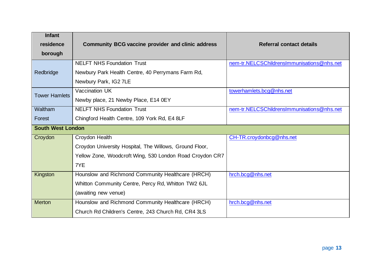| <b>Infant</b>            |                                                          |                                            |
|--------------------------|----------------------------------------------------------|--------------------------------------------|
| residence                | <b>Community BCG vaccine provider and clinic address</b> | Referral contact details                   |
| borough                  |                                                          |                                            |
|                          | <b>NELFT NHS Foundation Trust</b>                        | nem-tr.NELCSChildrensImmunisations@nhs.net |
| Redbridge                | Newbury Park Health Centre, 40 Perrymans Farm Rd,        |                                            |
|                          | Newbury Park, IG2 7LE                                    |                                            |
| <b>Tower Hamlets</b>     | Vaccination UK                                           | towerhamlets.bcg@nhs.net                   |
|                          | Newby place, 21 Newby Place, E14 0EY                     |                                            |
| Waltham                  | <b>NELFT NHS Foundation Trust</b>                        | nem-tr.NELCSChildrensImmunisations@nhs.net |
| Forest                   | Chingford Health Centre, 109 York Rd, E4 8LF             |                                            |
| <b>South West London</b> |                                                          |                                            |
| Croydon                  | Croydon Health                                           | CH-TR.croydonbcg@nhs.net                   |
|                          | Croydon University Hospital, The Willows, Ground Floor,  |                                            |
|                          | Yellow Zone, Woodcroft Wing, 530 London Road Croydon CR7 |                                            |
|                          | 7YE                                                      |                                            |
| Kingston                 | Hounslow and Richmond Community Healthcare (HRCH)        | hrch.bcg@nhs.net                           |
|                          | Whitton Community Centre, Percy Rd, Whitton TW2 6JL      |                                            |
|                          | (awaiting new venue)                                     |                                            |
| <b>Merton</b>            | Hounslow and Richmond Community Healthcare (HRCH)        | hrch.bcg@nhs.net                           |
|                          | Church Rd Children's Centre, 243 Church Rd, CR4 3LS      |                                            |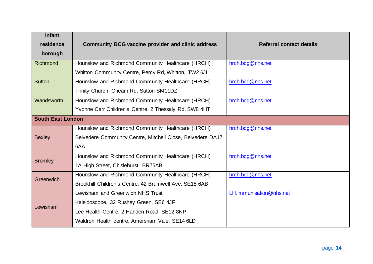| <b>Infant</b><br>residence<br>borough | <b>Community BCG vaccine provider and clinic address</b>   | Referral contact details |
|---------------------------------------|------------------------------------------------------------|--------------------------|
| <b>Richmond</b>                       | Hounslow and Richmond Community Healthcare (HRCH)          | hrch.bcg@nhs.net         |
|                                       | Whitton Community Centre, Percy Rd, Whitton, TW2 6JL       |                          |
| <b>Sutton</b>                         | Hounslow and Richmond Community Healthcare (HRCH)          | hrch.bcg@nhs.net         |
|                                       | Trinity Church, Cheam Rd, Sutton SM11DZ                    |                          |
| Wandsworth                            | Hounslow and Richmond Community Healthcare (HRCH)          | hrch.bcg@nhs.net         |
|                                       | Yvonne Carr Children's Centre, 2 Thessaly Rd, SW8 4HT      |                          |
| <b>South East London</b>              |                                                            |                          |
|                                       | Hounslow and Richmond Community Healthcare (HRCH)          | hrch.bcg@nhs.net         |
| <b>Bexley</b>                         | Belvedere Community Centre, Mitchell Close, Belvedere DA17 |                          |
|                                       | 6AA                                                        |                          |
| <b>Bromley</b>                        | Hounslow and Richmond Community Healthcare (HRCH)          | hrch.bcg@nhs.net         |
|                                       | 1A High Street, Chislehurst, BR75AB                        |                          |
| Greenwich                             | Hounslow and Richmond Community Healthcare (HRCH)          | hrch.bcg@nhs.net         |
|                                       | Brookhill Children's Centre, 42 Brumwell Ave, SE18 6AB     |                          |
|                                       | Lewisham and Greenwich NHS Trust                           | LH.immunisation@nhs.net  |
| Lewisham                              | Kaleidoscope, 32 Rushey Green, SE6 4JF                     |                          |
|                                       | Lee Health Centre, 2 Handen Road, SE12 8NP                 |                          |
|                                       | Waldron Health centre, Amersham Vale, SE14 6LD             |                          |